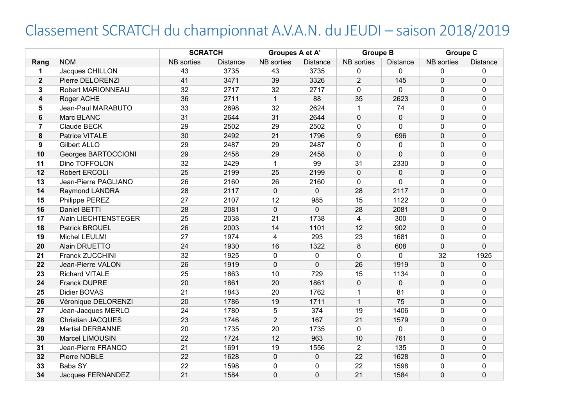## Classement SCRATCH du championnat A.V.A.N. du JEUDI – saison 2018/2019

|                         |                          | <b>SCRATCH</b> |                 | Groupes A et A' |                 | <b>Groupe B</b> |                 | <b>Groupe C</b> |                 |
|-------------------------|--------------------------|----------------|-----------------|-----------------|-----------------|-----------------|-----------------|-----------------|-----------------|
| Rang                    | <b>NOM</b>               | NB sorties     | <b>Distance</b> | NB sorties      | <b>Distance</b> | NB sorties      | <b>Distance</b> | NB sorties      | <b>Distance</b> |
| 1                       | Jacques CHILLON          | 43             | 3735            | 43              | 3735            | 0               | $\mathbf{0}$    | $\Omega$        | $\mathbf{0}$    |
| $\overline{2}$          | Pierre DELORENZI         | 41             | 3471            | 39              | 3326            | $\overline{2}$  | 145             | $\mathbf 0$     | $\mathbf 0$     |
| 3                       | Robert MARIONNEAU        | 32             | 2717            | 32              | 2717            | $\mathbf 0$     | $\mathbf 0$     | 0               | $\mathbf 0$     |
| $\overline{\mathbf{4}}$ | Roger ACHE               | 36             | 2711            | $\mathbf{1}$    | 88              | 35              | 2623            | $\mathbf 0$     | $\mathbf 0$     |
| 5                       | Jean-Paul MARABUTO       | 33             | 2698            | 32              | 2624            | $\mathbf{1}$    | 74              | $\Omega$        | $\mathbf 0$     |
| 6                       | Marc BLANC               | 31             | 2644            | 31              | 2644            | 0               | $\mathbf{0}$    | $\Omega$        | $\mathbf 0$     |
| $\overline{7}$          | Claude BECK              | 29             | 2502            | 29              | 2502            | 0               | $\Omega$        | $\Omega$        | $\mathbf 0$     |
| 8                       | Patrice VITALE           | 30             | 2492            | 21              | 1796            | 9               | 696             | $\mathbf{0}$    | $\mathbf 0$     |
| 9                       | <b>Gilbert ALLO</b>      | 29             | 2487            | 29              | 2487            | 0               | $\mathbf 0$     | $\Omega$        | $\mathbf 0$     |
| 10                      | Georges BARTOCCIONI      | 29             | 2458            | 29              | 2458            | $\mathbf{0}$    | $\overline{0}$  | $\Omega$        | $\mathbf 0$     |
| 11                      | Dino TOFFOLON            | 32             | 2429            | $\mathbf{1}$    | 99              | 31              | 2330            | 0               | $\mathbf 0$     |
| 12                      | Robert ERCOLI            | 25             | 2199            | 25              | 2199            | 0               | $\Omega$        | $\overline{0}$  | $\mathbf 0$     |
| 13                      | Jean-Pierre PAGLIANO     | 26             | 2160            | 26              | 2160            | 0               | $\mathbf 0$     | $\Omega$        | $\mathbf 0$     |
| 14                      | Raymond LANDRA           | 28             | 2117            | 0               | $\mathbf 0$     | 28              | 2117            | $\overline{0}$  | $\overline{0}$  |
| 15                      | Philippe PEREZ           | 27             | 2107            | 12              | 985             | 15              | 1122            | $\mathbf 0$     | $\mathbf 0$     |
| 16                      | Daniel BETTI             | 28             | 2081            | $\overline{0}$  | $\mathbf 0$     | 28              | 2081            | $\mathbf 0$     | $\mathbf 0$     |
| 17                      | Alain LIECHTENSTEGER     | 25             | 2038            | 21              | 1738            | 4               | 300             | $\Omega$        | $\mathbf 0$     |
| 18                      | Patrick BROUEL           | 26             | 2003            | 14              | 1101            | 12              | 902             | $\mathbf 0$     | $\mathbf 0$     |
| 19                      | Michel LEULMI            | 27             | 1974            | $\overline{4}$  | 293             | 23              | 1681            | $\Omega$        | $\Omega$        |
| 20                      | Alain DRUETTO            | 24             | 1930            | 16              | 1322            | 8               | 608             | $\mathbf 0$     | $\Omega$        |
| 21                      | Franck ZUCCHINI          | 32             | 1925            | $\overline{0}$  | $\mathbf 0$     | 0               | 0               | 32              | 1925            |
| 22                      | Jean-Pierre VALON        | 26             | 1919            | $\Omega$        | $\overline{0}$  | 26              | 1919            | $\overline{0}$  | $\mathbf 0$     |
| 23                      | <b>Richard VITALE</b>    | 25             | 1863            | 10              | 729             | 15              | 1134            | $\overline{0}$  | $\mathbf 0$     |
| 24                      | Franck DUPRE             | 20             | 1861            | 20              | 1861            | 0               | $\mathbf 0$     | $\mathbf 0$     | $\mathbf 0$     |
| 25                      | <b>Didier BOVAS</b>      | 21             | 1843            | 20              | 1762            | $\mathbf{1}$    | 81              | 0               | $\mathbf 0$     |
| 26                      | Véronique DELORENZI      | 20             | 1786            | 19              | 1711            | $\overline{1}$  | 75              | $\mathbf 0$     | $\mathbf 0$     |
| 27                      | Jean-Jacques MERLO       | 24             | 1780            | 5               | 374             | 19              | 1406            | 0               | 0               |
| 28                      | <b>Christian JACQUES</b> | 23             | 1746            | $\overline{2}$  | 167             | 21              | 1579            | 0               | $\mathbf 0$     |
| 29                      | <b>Martial DERBANNE</b>  | 20             | 1735            | 20              | 1735            | 0               | $\mathbf{0}$    | $\Omega$        | $\mathbf{0}$    |
| 30                      | Marcel LIMOUSIN          | 22             | 1724            | 12              | 963             | 10              | 761             | $\Omega$        | $\mathbf 0$     |
| 31                      | Jean-Pierre FRANCO       | 21             | 1691            | 19              | 1556            | $\overline{2}$  | 135             | $\Omega$        | $\mathbf 0$     |
| 32                      | Pierre NOBLE             | 22             | 1628            | 0               | $\mathbf 0$     | 22              | 1628            | $\mathbf{0}$    | $\mathbf 0$     |
| 33                      | Baba SY                  | 22             | 1598            | 0               | $\mathbf 0$     | 22              | 1598            | 0               | $\mathbf 0$     |
| 34                      | Jacques FERNANDEZ        | 21             | 1584            | 0               | $\overline{0}$  | 21              | 1584            | $\overline{0}$  | $\mathbf 0$     |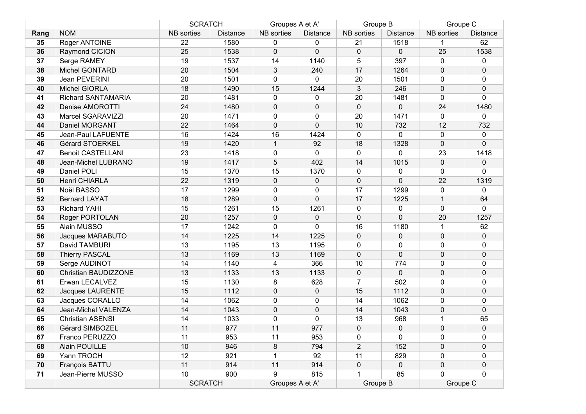|      |                           | <b>SCRATCH</b>    |                 | Groupes A et A' |                 | Groupe B       |                 | Groupe C          |              |
|------|---------------------------|-------------------|-----------------|-----------------|-----------------|----------------|-----------------|-------------------|--------------|
| Rang | <b>NOM</b>                | <b>NB</b> sorties | <b>Distance</b> | NB sorties      | <b>Distance</b> | NB sorties     | <b>Distance</b> | <b>NB</b> sorties | Distance     |
| 35   | Roger ANTOINE             | 22                | 1580            | $\mathbf{0}$    | 0               | 21             | 1518            | 1                 | 62           |
| 36   | Raymond CICION            | 25                | 1538            | $\mathbf 0$     | $\overline{0}$  | $\mathbf 0$    | $\mathbf 0$     | 25                | 1538         |
| 37   | Serge RAMEY               | 19                | 1537            | 14              | 1140            | 5              | 397             | $\mathbf 0$       | 0            |
| 38   | Michel GONTARD            | 20                | 1504            | 3               | 240             | 17             | 1264            | $\pmb{0}$         | $\pmb{0}$    |
| 39   | Jean PEVERINI             | 20                | 1501            | 0               | $\mathbf{0}$    | 20             | 1501            | 0                 | 0            |
| 40   | Michel GIORLA             | 18                | 1490            | 15              | 1244            | $\mathfrak{B}$ | 246             | $\mathbf 0$       | $\mathbf 0$  |
| 41   | <b>Richard SANTAMARIA</b> | 20                | 1481            | 0               | 0               | 20             | 1481            | $\mathbf 0$       | $\Omega$     |
| 42   | Denise AMOROTTI           | 24                | 1480            | $\mathbf 0$     | 0               | $\mathbf 0$    | $\Omega$        | 24                | 1480         |
| 43   | Marcel SGARAVIZZI         | 20                | 1471            | 0               | 0               | 20             | 1471            | $\mathbf 0$       | 0            |
| 44   | Daniel MORGANT            | 22                | 1464            | $\mathbf 0$     | $\Omega$        | 10             | 732             | 12                | 732          |
| 45   | Jean-Paul LAFUENTE        | 16                | 1424            | 16              | 1424            | $\mathbf 0$    | $\mathbf 0$     | $\mathbf 0$       | $\mathbf 0$  |
| 46   | Gérard STOERKEL           | 19                | 1420            | $\mathbf{1}$    | 92              | 18             | 1328            | $\mathbf 0$       | $\mathbf{0}$ |
| 47   | <b>Benoit CASTELLANI</b>  | 23                | 1418            | 0               | $\mathbf 0$     | $\pmb{0}$      | 0               | 23                | 1418         |
| 48   | Jean-Michel LUBRANO       | 19                | 1417            | $\overline{5}$  | 402             | 14             | 1015            | $\mathbf 0$       | $\mathbf 0$  |
| 49   | Daniel POLI               | 15                | 1370            | 15              | 1370            | $\pmb{0}$      | $\mathbf{0}$    | $\mathbf 0$       | 0            |
| 50   | Henri CHIARLA             | 22                | 1319            | $\mathbf 0$     | $\mathbf 0$     | $\mathbf 0$    | $\Omega$        | 22                | 1319         |
| 51   | Noël BASSO                | 17                | 1299            | 0               | $\mathbf 0$     | 17             | 1299            | $\mathbf 0$       | 0            |
| 52   | <b>Bernard LAYAT</b>      | 18                | 1289            | $\mathbf 0$     | $\mathbf 0$     | 17             | 1225            | $\mathbf{1}$      | 64           |
| 53   | <b>Richard YAHI</b>       | 15                | 1261            | 15              | 1261            | 0              | $\mathbf{0}$    | $\mathbf 0$       | $\Omega$     |
| 54   | Roger PORTOLAN            | 20                | 1257            | $\mathbf 0$     | $\Omega$        | $\mathbf 0$    | $\Omega$        | 20                | 1257         |
| 55   | Alain MUSSO               | 17                | 1242            | 0               | $\mathbf 0$     | 16             | 1180            | $\mathbf 1$       | 62           |
| 56   | Jacques MARABUTO          | 14                | 1225            | 14              | 1225            | $\pmb{0}$      | $\mathbf 0$     | $\mathbf 0$       | $\mathbf 0$  |
| 57   | David TAMBURI             | 13                | 1195            | 13              | 1195            | $\pmb{0}$      | 0               | $\mathbf 0$       | 0            |
| 58   | <b>Thierry PASCAL</b>     | 13                | 1169            | 13              | 1169            | $\pmb{0}$      | $\mathbf 0$     | $\mathbf 0$       | $\pmb{0}$    |
| 59   | Serge AUDINOT             | 14                | 1140            | 4               | 366             | 10             | 774             | $\mathbf 0$       | 0            |
| 60   | Christian BAUDIZZONE      | 13                | 1133            | 13              | 1133            | $\pmb{0}$      | $\mathbf 0$     | $\mathbf 0$       | $\mathbf 0$  |
| 61   | Erwan LECALVEZ            | 15                | 1130            | 8               | 628             | $\overline{7}$ | 502             | $\mathbf 0$       | 0            |
| 62   | <b>Jacques LAURENTE</b>   | 15                | 1112            | $\mathbf 0$     | 0               | 15             | 1112            | $\mathbf 0$       | $\mathbf 0$  |
| 63   | Jacques CORALLO           | 14                | 1062            | 0               | $\mathbf{0}$    | 14             | 1062            | $\mathbf{0}$      | $\mathbf{0}$ |
| 64   | Jean-Michel VALENZA       | 14                | 1043            | $\mathbf 0$     | $\mathbf 0$     | 14             | 1043            | $\mathbf 0$       | $\mathbf 0$  |
| 65   | <b>Christian ASENSI</b>   | 14                | 1033            | 0               | $\mathbf 0$     | 13             | 968             | 1                 | 65           |
| 66   | Gérard SIMBOZEL           | 11                | 977             | 11              | 977             | 0              | 0               | $\mathbf 0$       | 0            |
| 67   | Franco PERUZZO            | 11                | 953             | 11              | 953             | $\pmb{0}$      | $\mathbf{0}$    | 0                 | $\mathbf 0$  |
| 68   | <b>Alain POUILLE</b>      | 10                | 946             | 8               | 794             | $\overline{2}$ | 152             | $\mathbf 0$       | 0            |
| 69   | Yann TROCH                | 12                | 921             | 1               | 92              | 11             | 829             | 0                 | 0            |
| 70   | François BATTU            | 11                | 914             | 11              | 914             | $\pmb{0}$      | $\mathbf 0$     | $\mathbf 0$       | 0            |
| 71   | Jean-Pierre MUSSO         | 10                | 900             | 9               | 815             |                | 85              | $\mathbf 0$       | $\mathbf 0$  |
|      |                           | <b>SCRATCH</b>    |                 | Groupes A et A' |                 | Groupe B       |                 | Groupe C          |              |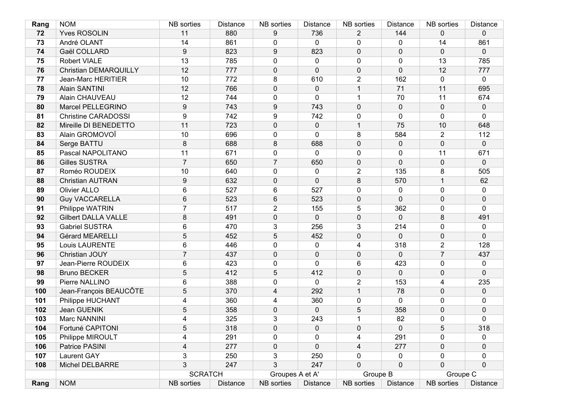| Rang | <b>NOM</b>                   | <b>NB</b> sorties | <b>Distance</b> | <b>NB</b> sorties | <b>Distance</b> | <b>NB</b> sorties | <b>Distance</b>  | <b>NB</b> sorties | Distance       |
|------|------------------------------|-------------------|-----------------|-------------------|-----------------|-------------------|------------------|-------------------|----------------|
| 72   | <b>Yves ROSOLIN</b>          | 11                | 880             | 9                 | 736             | $\overline{2}$    | 144              | $\mathbf 0$       | $\Omega$       |
| 73   | André OLANT                  | 14                | 861             | 0                 | $\mathbf 0$     | 0                 | $\mathbf{0}$     | 14                | 861            |
| 74   | Gaël COLLARD                 | 9                 | 823             | 9                 | 823             | $\pmb{0}$         | $\Omega$         | $\mathbf 0$       | $\overline{0}$ |
| 75   | Robert VIALE                 | 13                | 785             | 0                 | 0               | 0                 | $\mathbf{0}$     | 13                | 785            |
| 76   | <b>Christian DEMARQUILLY</b> | 12                | 777             | 0                 | $\mathbf{0}$    | 0                 | $\Omega$         | 12                | 777            |
| 77   | <b>Jean-Marc HERITIER</b>    | 10                | 772             | 8                 | 610             | $\overline{2}$    | 162              | $\mathbf 0$       | $\mathbf{0}$   |
| 78   | Alain SANTINI                | 12                | 766             | 0                 | $\mathbf 0$     | $\mathbf{1}$      | 71               | 11                | 695            |
| 79   | Alain CHAUVEAU               | 12                | 744             | 0                 | 0               | $\mathbf{1}$      | 70               | 11                | 674            |
| 80   | Marcel PELLEGRINO            | 9                 | 743             | 9                 | 743             | $\mathbf 0$       | 0                | $\mathbf 0$       | $\mathbf{0}$   |
| 81   | <b>Christine CARADOSSI</b>   | 9                 | 742             | 9                 | 742             | 0                 | $\mathbf{0}$     | $\mathbf 0$       | $\Omega$       |
| 82   | Mireille DI BENEDETTO        | 11                | 723             | 0                 | $\mathbf 0$     | $\mathbf{1}$      | 75               | 10                | 648            |
| 83   | Alain GROMOVOÏ               | 10                | 696             | 0                 | $\Omega$        | 8                 | 584              | $\overline{2}$    | 112            |
| 84   | Serge BATTU                  | 8                 | 688             | 8                 | 688             | $\pmb{0}$         | 0                | $\mathbf 0$       | $\mathbf 0$    |
| 85   | Pascal NAPOLITANO            | 11                | 671             | 0                 | 0               | 0                 | 0                | 11                | 671            |
| 86   | <b>Gilles SUSTRA</b>         | $\overline{7}$    | 650             | $\overline{7}$    | 650             | 0                 | $\Omega$         | $\mathbf 0$       | $\Omega$       |
| 87   | Roméo ROUDEIX                | 10                | 640             | $\mathbf{0}$      | 0               | $\overline{2}$    | 135              | 8                 | 505            |
| 88   | <b>Christian AUTRAN</b>      | 9                 | 632             | 0                 | $\mathbf{0}$    | 8                 | 570              | $\mathbf{1}$      | 62             |
| 89   | Olivier ALLO                 | 6                 | 527             | 6                 | 527             | 0                 | 0                | $\mathbf 0$       | 0              |
| 90   | <b>Guy VACCARELLA</b>        | 6                 | 523             | 6                 | 523             | 0                 | $\Omega$         | $\mathbf 0$       | $\mathbf 0$    |
| 91   | Philippe WATRIN              | $\overline{7}$    | 517             | $\overline{2}$    | 155             | 5                 | 362              | $\mathbf{0}$      | $\Omega$       |
| 92   | <b>Gilbert DALLA VALLE</b>   | 8                 | 491             | 0                 | $\mathbf 0$     | $\mathbf 0$       | $\Omega$         | 8                 | 491            |
| 93   | <b>Gabriel SUSTRA</b>        | 6                 | 470             | 3                 | 256             | 3                 | 214              | $\mathbf 0$       | 0              |
| 94   | Gérard MEARELLI              | 5                 | 452             | 5                 | 452             | $\pmb{0}$         | 0                | $\mathbf 0$       | $\mathbf 0$    |
| 95   | Louis LAURENTE               | 6                 | 446             | 0                 | 0               | 4                 | 318              | $\overline{2}$    | 128            |
| 96   | Christian JOUY               | $\overline{7}$    | 437             | 0                 | $\mathbf 0$     | $\pmb{0}$         | $\Omega$         | $\overline{7}$    | 437            |
| 97   | Jean-Pierre ROUDEIX          | 6                 | 423             | 0                 | $\mathbf 0$     | 6                 | 423              | $\mathbf 0$       | 0              |
| 98   | <b>Bruno BECKER</b>          | 5                 | 412             | 5                 | 412             | $\pmb{0}$         | $\mathbf{0}$     | $\mathbf 0$       | $\mathbf{0}$   |
| 99   | Pierre NALLINO               | 6                 | 388             | 0                 | $\mathbf{0}$    | $\overline{2}$    | 153              | $\overline{4}$    | 235            |
| 100  | Jean-François BEAUCÔTE       | 5                 | 370             | 4                 | 292             | $\mathbf{1}$      | 78               | $\mathbf 0$       | $\mathbf 0$    |
| 101  | Philippe HUCHANT             | 4                 | 360             | 4                 | 360             | 0                 | $\mathbf{0}$     | $\mathbf{0}$      | 0              |
| 102  | Jean GUENIK                  | 5                 | 358             | 0                 | $\mathbf 0$     | $\overline{5}$    | 358              | $\mathbf 0$       | $\pmb{0}$      |
| 103  | Marc NANNINI                 | 4                 | 325             | 3                 | 243             | 1                 | 82               | $\mathbf 0$       | 0              |
| 104  | Fortuné CAPITONI             | 5                 | 318             | 0                 | 0               | $\mathbf 0$       | $\Omega$         | 5                 | 318            |
| 105  | Philippe MIROULT             | 4                 | 291             | 0                 | 0               | 4                 | 291              | 0                 | 0              |
| 106  | Patrice PASINI               | $\overline{4}$    | 277             | 0                 | 0               | 4                 | 277              | $\mathbf 0$       | 0              |
| 107  | <b>Laurent GAY</b>           | 3                 | 250             | 3                 | 250             | 0                 | 0                | 0                 | 0              |
| 108  | Michel DELBARRE              | 3                 | 247             | 3                 | 247             | $\pmb{0}$         | $\boldsymbol{0}$ | $\mathbf 0$       | $\mathbf 0$    |
|      |                              | <b>SCRATCH</b>    |                 | Groupes A et A'   |                 | Groupe B          |                  | Groupe C          |                |
| Rang | <b>NOM</b>                   | NB sorties        | Distance        | NB sorties        | <b>Distance</b> | NB sorties        | <b>Distance</b>  | <b>NB</b> sorties | Distance       |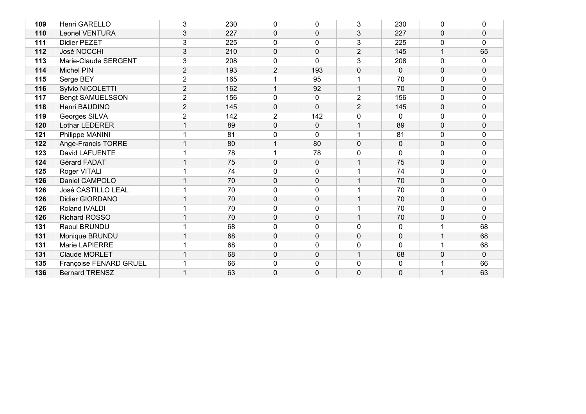| 109 | Henri GARELLO           | 3              | 230 | $\mathbf{0}$   | $\mathbf{0}$   | 3              | 230          | 0            | 0            |
|-----|-------------------------|----------------|-----|----------------|----------------|----------------|--------------|--------------|--------------|
| 110 | <b>Leonel VENTURA</b>   | 3              | 227 | 0              | $\mathbf 0$    | 3              | 227          | $\mathbf 0$  | $\pmb{0}$    |
| 111 | <b>Didier PEZET</b>     | 3              | 225 | $\Omega$       | $\mathbf 0$    | 3              | 225          | $\mathbf 0$  | $\mathbf 0$  |
| 112 | José NOCCHI             | 3              | 210 | $\Omega$       | $\mathbf 0$    | $\overline{2}$ | 145          |              | 65           |
| 113 | Marie-Claude SERGENT    | 3              | 208 | 0              | $\mathbf 0$    | 3              | 208          | $\mathbf 0$  | 0            |
| 114 | Michel PIN              | $\overline{2}$ | 193 | $\overline{2}$ | 193            | 0              | $\Omega$     | $\mathbf 0$  | $\mathbf 0$  |
| 115 | Serge BEY               | $\overline{2}$ | 165 |                | 95             | 1              | 70           | $\mathbf 0$  | 0            |
| 116 | Sylvio NICOLETTI        | $\overline{2}$ | 162 | 1              | 92             | $\mathbf{1}$   | 70           | 0            | $\mathbf 0$  |
| 117 | <b>Bengt SAMUELSSON</b> | $\overline{2}$ | 156 | $\Omega$       | $\mathbf 0$    | $\overline{2}$ | 156          | $\Omega$     | $\mathbf 0$  |
| 118 | Henri BAUDINO           | $\overline{2}$ | 145 | $\Omega$       | $\Omega$       | $\overline{2}$ | 145          | $\mathbf 0$  | $\mathbf 0$  |
| 119 | Georges SILVA           | $\overline{2}$ | 142 | $\overline{2}$ | 142            | 0              | 0            | $\mathbf 0$  | $\pmb{0}$    |
| 120 | Lothar LEDERER          |                | 89  | $\Omega$       | $\mathbf{0}$   | 1              | 89           | $\Omega$     | $\mathbf{0}$ |
| 121 | Philippe MANINI         |                | 81  | $\Omega$       | $\Omega$       | 1              | 81           | $\Omega$     | $\mathbf 0$  |
| 122 | Ange-Francis TORRE      |                | 80  |                | 80             | 0              | $\mathbf 0$  | $\mathbf 0$  | $\pmb{0}$    |
| 123 | David LAFUENTE          |                | 78  |                | 78             | 0              | $\mathbf{0}$ | $\mathbf{0}$ | $\mathbf{0}$ |
| 124 | <b>Gérard FADAT</b>     |                | 75  | $\mathbf{0}$   | $\mathbf{0}$   | $\mathbf{1}$   | 75           | $\mathbf 0$  | $\mathbf 0$  |
| 125 | Roger VITALI            |                | 74  | 0              | $\mathbf 0$    | 1              | 74           | $\mathbf 0$  | $\mathbf 0$  |
| 126 | Daniel CAMPOLO          |                | 70  | $\Omega$       | $\mathbf 0$    | 1              | 70           | $\mathbf 0$  | $\mathbf 0$  |
| 126 | José CASTILLO LEAL      |                | 70  | 0              | $\mathbf{0}$   | 1              | 70           | $\mathbf{0}$ | $\mathbf{0}$ |
| 126 | Didier GIORDANO         |                | 70  | 0              | $\mathbf 0$    | $\mathbf{1}$   | 70           | $\mathbf 0$  | $\pmb{0}$    |
| 126 | Roland IVALDI           |                | 70  | $\Omega$       | $\mathbf 0$    | 1              | 70           | $\Omega$     | $\mathbf{0}$ |
| 126 | <b>Richard ROSSO</b>    |                | 70  | $\Omega$       | $\mathbf 0$    | 1              | 70           | 0            | $\mathbf{0}$ |
| 131 | Raoul BRUNDU            |                | 68  | 0              | $\mathbf 0$    | 0              | $\mathbf{0}$ |              | 68           |
| 131 | Monique BRUNDU          |                | 68  | 0              | $\mathbf 0$    | 0              | $\Omega$     |              | 68           |
| 131 | Marie LAPIERRE          |                | 68  | $\Omega$       | $\mathbf{0}$   | 0              | $\Omega$     |              | 68           |
| 131 | Claude MORLET           |                | 68  | 0              | $\mathbf 0$    | $\mathbf{1}$   | 68           | 0            | $\mathbf 0$  |
| 135 | Françoise FENARD GRUEL  |                | 66  | 0              | $\mathbf 0$    | 0              | 0            |              | 66           |
| 136 | <b>Bernard TRENSZ</b>   |                | 63  | $\Omega$       | $\overline{0}$ | 0              | 0            |              | 63           |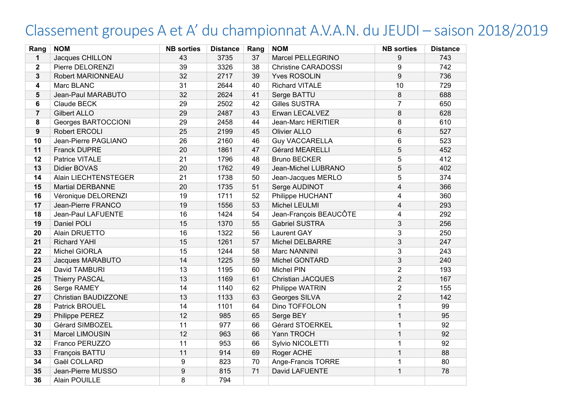## Classement groupes A et A' du championnat A.V.A.N. du JEUDI – saison 2018/2019

| Rang             | <b>NOM</b>              | <b>NB</b> sorties | <b>Distance</b> | Rang | <b>NOM</b>                 | <b>NB</b> sorties | <b>Distance</b> |
|------------------|-------------------------|-------------------|-----------------|------|----------------------------|-------------------|-----------------|
| 1                | Jacques CHILLON         | 43                | 3735            | 37   | Marcel PELLEGRINO          | 9                 | 743             |
| $\mathbf 2$      | Pierre DELORENZI        | 39                | 3326            | 38   | <b>Christine CARADOSSI</b> | 9                 | 742             |
| 3                | Robert MARIONNEAU       | 32                | 2717            | 39   | <b>Yves ROSOLIN</b>        | $\overline{9}$    | 736             |
| 4                | Marc BLANC              | 31                | 2644            | 40   | <b>Richard VITALE</b>      | 10                | 729             |
| 5                | Jean-Paul MARABUTO      | 32                | 2624            | 41   | Serge BATTU                | 8                 | 688             |
| $6\phantom{1}$   | Claude BECK             | 29                | 2502            | 42   | Gilles SUSTRA              | $\overline{7}$    | 650             |
| $\overline{7}$   | <b>Gilbert ALLO</b>     | 29                | 2487            | 43   | Erwan LECALVEZ             | 8                 | 628             |
| 8                | Georges BARTOCCIONI     | 29                | 2458            | 44   | Jean-Marc HERITIER         | 8                 | 610             |
| $\boldsymbol{9}$ | Robert ERCOLI           | 25                | 2199            | 45   | <b>Olivier ALLO</b>        | $6\phantom{1}$    | 527             |
| 10               | Jean-Pierre PAGLIANO    | 26                | 2160            | 46   | <b>Guy VACCARELLA</b>      | 6                 | 523             |
| 11               | <b>Franck DUPRE</b>     | 20                | 1861            | 47   | Gérard MEARELLI            | 5                 | 452             |
| 12               | Patrice VITALE          | $\overline{21}$   | 1796            | 48   | <b>Bruno BECKER</b>        | $\overline{5}$    | 412             |
| 13               | Didier BOVAS            | 20                | 1762            | 49   | Jean-Michel LUBRANO        | 5                 | 402             |
| 14               | Alain LIECHTENSTEGER    | 21                | 1738            | 50   | Jean-Jacques MERLO         | 5                 | 374             |
| 15               | <b>Martial DERBANNE</b> | 20                | 1735            | 51   | Serge AUDINOT              | $\overline{4}$    | 366             |
| 16               | Véronique DELORENZI     | 19                | 1711            | 52   | Philippe HUCHANT           | 4                 | 360             |
| 17               | Jean-Pierre FRANCO      | 19                | 1556            | 53   | Michel LEULMI              | $\overline{4}$    | 293             |
| 18               | Jean-Paul LAFUENTE      | 16                | 1424            | 54   | Jean-François BEAUCÔTE     | $\overline{4}$    | 292             |
| 19               | Daniel POLI             | 15                | 1370            | 55   | <b>Gabriel SUSTRA</b>      | 3                 | 256             |
| 20               | Alain DRUETTO           | 16                | 1322            | 56   | <b>Laurent GAY</b>         | 3                 | 250             |
| 21               | <b>Richard YAHI</b>     | 15                | 1261            | 57   | <b>Michel DELBARRE</b>     | 3                 | 247             |
| 22               | Michel GIORLA           | 15                | 1244            | 58   | Marc NANNINI               | 3                 | 243             |
| 23               | Jacques MARABUTO        | 14                | 1225            | 59   | <b>Michel GONTARD</b>      | 3                 | 240             |
| 24               | David TAMBURI           | 13                | 1195            | 60   | Michel PIN                 | $\overline{2}$    | 193             |
| 25               | <b>Thierry PASCAL</b>   | 13                | 1169            | 61   | <b>Christian JACQUES</b>   | $\overline{2}$    | 167             |
| 26               | Serge RAMEY             | 14                | 1140            | 62   | Philippe WATRIN            | $\overline{2}$    | 155             |
| 27               | Christian BAUDIZZONE    | 13                | 1133            | 63   | Georges SILVA              | $\overline{2}$    | 142             |
| 28               | Patrick BROUEL          | 14                | 1101            | 64   | Dino TOFFOLON              | 1                 | 99              |
| 29               | Philippe PEREZ          | 12                | 985             | 65   | Serge BEY                  | $\mathbf{1}$      | 95              |
| 30               | Gérard SIMBOZEL         | 11                | 977             | 66   | Gérard STOERKEL            | $\mathbf{1}$      | 92              |
| 31               | Marcel LIMOUSIN         | 12                | 963             | 66   | Yann TROCH                 | $\mathbf{1}$      | 92              |
| 32               | Franco PERUZZO          | 11                | 953             | 66   | Sylvio NICOLETTI           | 1                 | 92              |
| 33               | François BATTU          | 11                | 914             | 69   | Roger ACHE                 | $\mathbf{1}$      | 88              |
| 34               | Gaël COLLARD            | 9                 | 823             | 70   | Ange-Francis TORRE         | $\mathbf 1$       | 80              |
| 35               | Jean-Pierre MUSSO       | 9                 | 815             | 71   | David LAFUENTE             | $\mathbf{1}$      | 78              |
| 36               | Alain POUILLE           | 8                 | 794             |      |                            |                   |                 |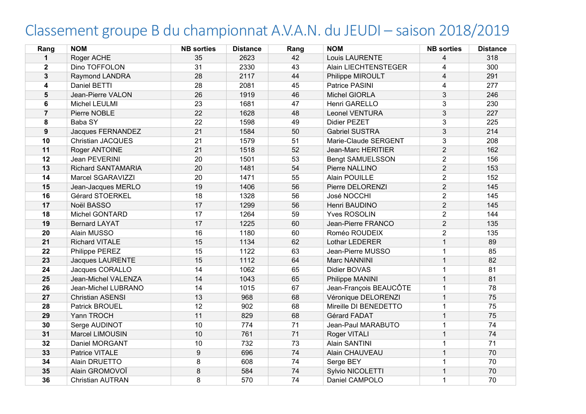## Classement groupe B du championnat A.V.A.N. du JEUDI – saison 2018/2019

| Rang           | <b>NOM</b>                | <b>NB</b> sorties | <b>Distance</b> | Rang | <b>NOM</b>              | <b>NB</b> sorties | <b>Distance</b> |
|----------------|---------------------------|-------------------|-----------------|------|-------------------------|-------------------|-----------------|
| $\mathbf{1}$   | Roger ACHE                | 35                | 2623            | 42   | Louis LAURENTE          | 4                 | 318             |
| $\mathbf{2}$   | Dino TOFFOLON             | 31                | 2330            | 43   | Alain LIECHTENSTEGER    | 4                 | 300             |
| 3              | <b>Raymond LANDRA</b>     | 28                | 2117            | 44   | Philippe MIROULT        | $\overline{4}$    | 291             |
| 4              | Daniel BETTI              | 28                | 2081            | 45   | Patrice PASINI          | 4                 | 277             |
| 5              | Jean-Pierre VALON         | 26                | 1919            | 46   | Michel GIORLA           | 3                 | 246             |
| 6              | Michel LEULMI             | 23                | 1681            | 47   | Henri GARELLO           | 3                 | 230             |
| $\overline{7}$ | Pierre NOBLE              | 22                | 1628            | 48   | Leonel VENTURA          | 3                 | 227             |
| 8              | Baba SY                   | 22                | 1598            | 49   | <b>Didier PEZET</b>     | 3                 | 225             |
| 9              | Jacques FERNANDEZ         | 21                | 1584            | 50   | <b>Gabriel SUSTRA</b>   | 3                 | 214             |
| 10             | <b>Christian JACQUES</b>  | 21                | 1579            | 51   | Marie-Claude SERGENT    | 3                 | 208             |
| 11             | Roger ANTOINE             | 21                | 1518            | 52   | Jean-Marc HERITIER      | $\overline{2}$    | 162             |
| 12             | Jean PEVERINI             | 20                | 1501            | 53   | <b>Bengt SAMUELSSON</b> | $\overline{2}$    | 156             |
| 13             | <b>Richard SANTAMARIA</b> | 20                | 1481            | 54   | Pierre NALLINO          | $\overline{2}$    | 153             |
| 14             | Marcel SGARAVIZZI         | 20                | 1471            | 55   | Alain POUILLE           | $\overline{2}$    | 152             |
| 15             | Jean-Jacques MERLO        | 19                | 1406            | 56   | Pierre DELORENZI        | $\overline{2}$    | 145             |
| 16             | Gérard STOERKEL           | 18                | 1328            | 56   | José NOCCHI             | $\overline{2}$    | 145             |
| 17             | Noël BASSO                | 17                | 1299            | 56   | Henri BAUDINO           | $\overline{2}$    | 145             |
| 18             | Michel GONTARD            | 17                | 1264            | 59   | <b>Yves ROSOLIN</b>     | 2                 | 144             |
| 19             | <b>Bernard LAYAT</b>      | 17                | 1225            | 60   | Jean-Pierre FRANCO      | $\overline{2}$    | 135             |
| 20             | Alain MUSSO               | 16                | 1180            | 60   | Roméo ROUDEIX           | 2                 | 135             |
| 21             | <b>Richard VITALE</b>     | 15                | 1134            | 62   | Lothar LEDERER          | $\mathbf 1$       | 89              |
| 22             | Philippe PEREZ            | 15                | 1122            | 63   | Jean-Pierre MUSSO       | 1                 | 85              |
| 23             | <b>Jacques LAURENTE</b>   | 15                | 1112            | 64   | Marc NANNINI            | 1                 | 82              |
| 24             | Jacques CORALLO           | 14                | 1062            | 65   | Didier BOVAS            | 1                 | 81              |
| 25             | Jean-Michel VALENZA       | 14                | 1043            | 65   | Philippe MANINI         | 1                 | 81              |
| 26             | Jean-Michel LUBRANO       | 14                | 1015            | 67   | Jean-François BEAUCÔTE  | $\mathbf 1$       | 78              |
| 27             | <b>Christian ASENSI</b>   | 13                | 968             | 68   | Véronique DELORENZI     | $\mathbf 1$       | 75              |
| 28             | <b>Patrick BROUEL</b>     | 12                | 902             | 68   | Mireille DI BENEDETTO   | $\mathbf 1$       | 75              |
| 29             | Yann TROCH                | 11                | 829             | 68   | Gérard FADAT            | $\mathbf 1$       | 75              |
| 30             | Serge AUDINOT             | 10                | 774             | 71   | Jean-Paul MARABUTO      | $\mathbf{1}$      | 74              |
| 31             | Marcel LIMOUSIN           | 10                | 761             | 71   | Roger VITALI            | $\mathbf 1$       | 74              |
| 32             | Daniel MORGANT            | 10                | 732             | 73   | Alain SANTINI           | 1                 | $\overline{71}$ |
| 33             | Patrice VITALE            | $\boldsymbol{9}$  | 696             | 74   | Alain CHAUVEAU          | $\mathbf{1}$      | 70              |
| 34             | Alain DRUETTO             | 8                 | 608             | 74   | Serge BEY               | 1                 | 70              |
| 35             | Alain GROMOVOÏ            | 8                 | 584             | 74   | Sylvio NICOLETTI        | $\mathbf 1$       | 70              |
| 36             | <b>Christian AUTRAN</b>   | 8                 | 570             | 74   | Daniel CAMPOLO          | 1                 | 70              |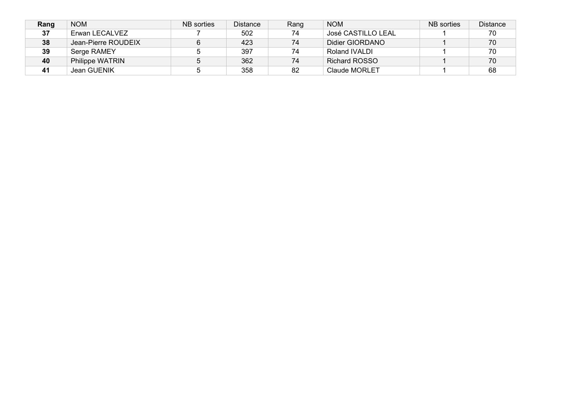| Rang | <b>NOM</b>          | NB sorties | <b>Distance</b> | Rang | <b>NOM</b>           | NB sorties | <b>Distance</b> |
|------|---------------------|------------|-----------------|------|----------------------|------------|-----------------|
| 37   | Erwan LECALVEZ      |            | 502             | 74   | José CASTILLO LEAL   |            | 70              |
| 38   | Jean-Pierre ROUDEIX | 6          | 423             | 74   | Didier GIORDANO      |            | 70              |
| 39   | Serge RAMEY         |            | 397             | 74   | Roland IVALDI        |            | 70              |
| 40   | Philippe WATRIN     |            | 362             | 74   | <b>Richard ROSSO</b> |            | 70              |
| 41   | Jean GUENIK         |            | 358             | 82   | Claude MORLET        |            | 68              |